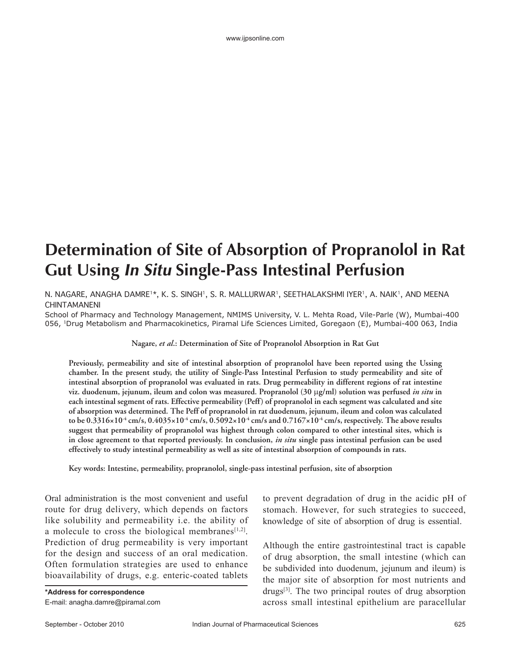## **Determination of Site of Absorption of Propranolol in Rat Gut Using In Situ Single-Pass Intestinal Perfusion**

## N. NAGARE, ANAGHA DAMRE1\*, K. S. SINGH1, S. R. MALLURWAR1, SEETHALAKSHMI IYER1, A. NAIK1, AND MEENA CHINTAMANENI

School of Pharmacy and Technology Management, NMIMS University, V. L. Mehta Road, Vile-Parle (W), Mumbai-400 056, 1Drug Metabolism and Pharmacokinetics, Piramal Life Sciences Limited, Goregaon (E), Mumbai-400 063, India

**Nagare,** *et al***.: Determination of Site of Propranolol Absorption in Rat Gut**

**Previously, permeability and site of intestinal absorption of propranolol have been reported using the Ussing chamber. In the present study, the utility of Single-Pass Intestinal Perfusion to study permeability and site of intestinal absorption of propranolol was evaluated in rats. Drug permeability in different regions of rat intestine viz. duodenum, jejunum, ileum and colon was measured. Propranolol (30** μ**g/ml) solution was perfused** *in situ* **in each intestinal segment of rats. Effective permeability (Peff) of propranolol in each segment was calculated and site of absorption was determined. The Peff of propranolol in rat duodenum, jejunum, ileum and colon was calculated**  to be  $0.3316 \times 10^{-4}$  cm/s,  $0.4035 \times 10^{-4}$  cm/s,  $0.5092 \times 10^{-4}$  cm/s and  $0.7167 \times 10^{-4}$  cm/s, respectively. The above results **suggest that permeability of propranolol was highest through colon compared to other intestinal sites, which is in close agreement to that reported previously. In conclusion,** *in situ* **single pass intestinal perfusion can be used effectively to study intestinal permeability as well as site of intestinal absorption of compounds in rats.**

**Key words: Intestine, permeability, propranolol, single-pass intestinal perfusion, site of absorption**

Oral administration is the most convenient and useful route for drug delivery, which depends on factors like solubility and permeability i.e. the ability of a molecule to cross the biological membranes $[1,2]$ . Prediction of drug permeability is very important for the design and success of an oral medication. Often formulation strategies are used to enhance bioavailability of drugs, e.g. enteric-coated tablets

to prevent degradation of drug in the acidic pH of stomach. However, for such strategies to succeed, knowledge of site of absorption of drug is essential.

Although the entire gastrointestinal tract is capable of drug absorption, the small intestine (which can be subdivided into duodenum, jejunum and ileum) is the major site of absorption for most nutrients and drugs[3]. The two principal routes of drug absorption across small intestinal epithelium are paracellular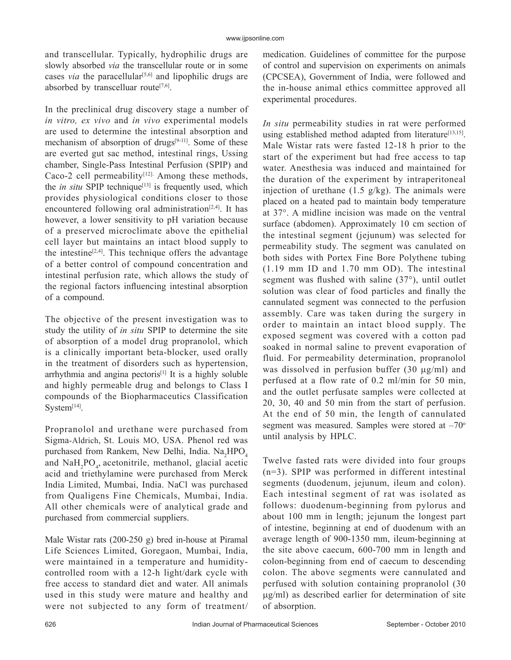and transcellular. Typically, hydrophilic drugs are slowly absorbed *via* the transcellular route or in some cases *via* the paracellular<sup>[5,6]</sup> and lipophilic drugs are absorbed by transcelluar route<sup>[7,6]</sup>.

In the preclinical drug discovery stage a number of *in vitro, ex vivo* and *in vivo* experimental models are used to determine the intestinal absorption and mechanism of absorption of drugs $[9-11]$ . Some of these are everted gut sac method, intestinal rings, Ussing chamber, Single-Pass Intestinal Perfusion (SPIP) and Caco-2 cell permeability $[12]$ . Among these methods, the *in situ* SPIP technique<sup>[13]</sup> is frequently used, which provides physiological conditions closer to those encountered following oral administration<sup>[2,4]</sup>. It has however, a lower sensitivity to pH variation because of a preserved microclimate above the epithelial cell layer but maintains an intact blood supply to the intestine<sup>[2,4]</sup>. This technique offers the advantage of a better control of compound concentration and intestinal perfusion rate, which allows the study of the regional factors influencing intestinal absorption of a compound.

The objective of the present investigation was to study the utility of *in situ* SPIP to determine the site of absorption of a model drug propranolol, which is a clinically important beta-blocker, used orally in the treatment of disorders such as hypertension, arrhythmia and angina pectoris[1] It is a highly soluble and highly permeable drug and belongs to Class I compounds of the Biopharmaceutics Classification System<sup>[14]</sup>.

Propranolol and urethane were purchased from Sigma-Aldrich, St. Louis MO, USA. Phenol red was purchased from Rankem, New Delhi, India. Na<sub>2</sub>HPO<sub>4</sub> and NaH<sub>2</sub>PO<sub>4</sub>, acetonitrile, methanol, glacial acetic acid and triethylamine were purchased from Merck India Limited, Mumbai, India. NaCl was purchased from Qualigens Fine Chemicals, Mumbai, India. All other chemicals were of analytical grade and purchased from commercial suppliers.

Male Wistar rats (200-250 g) bred in-house at Piramal Life Sciences Limited, Goregaon, Mumbai, India, were maintained in a temperature and humiditycontrolled room with a 12-h light/dark cycle with free access to standard diet and water. All animals used in this study were mature and healthy and were not subjected to any form of treatment/ medication. Guidelines of committee for the purpose of control and supervision on experiments on animals (CPCSEA), Government of India, were followed and the in-house animal ethics committee approved all experimental procedures.

*In situ* permeability studies in rat were performed using established method adapted from literature<sup>[13,15]</sup>. Male Wistar rats were fasted 12-18 h prior to the start of the experiment but had free access to tap water. Anesthesia was induced and maintained for the duration of the experiment by intraperitoneal injection of urethane  $(1.5 \text{ g/kg})$ . The animals were placed on a heated pad to maintain body temperature at 37°. A midline incision was made on the ventral surface (abdomen). Approximately 10 cm section of the intestinal segment (jejunum) was selected for permeability study. The segment was canulated on both sides with Portex Fine Bore Polythene tubing (1.19 mm ID and 1.70 mm OD). The intestinal segment was flushed with saline  $(37^{\circ})$ , until outlet solution was clear of food particles and finally the cannulated segment was connected to the perfusion assembly. Care was taken during the surgery in order to maintain an intact blood supply. The exposed segment was covered with a cotton pad soaked in normal saline to prevent evaporation of fluid. For permeability determination, propranolol was dissolved in perfusion buffer  $(30 \mu g/ml)$  and perfused at a flow rate of 0.2 ml/min for 50 min, and the outlet perfusate samples were collected at 20, 30, 40 and 50 min from the start of perfusion. At the end of 50 min, the length of cannulated segment was measured. Samples were stored at  $-70^\circ$ until analysis by HPLC.

Twelve fasted rats were divided into four groups (n=3). SPIP was performed in different intestinal segments (duodenum, jejunum, ileum and colon). Each intestinal segment of rat was isolated as follows: duodenum-beginning from pylorus and about 100 mm in length; jejunum the longest part of intestine, beginning at end of duodenum with an average length of 900-1350 mm, ileum-beginning at the site above caecum, 600-700 mm in length and colon-beginning from end of caecum to descending colon. The above segments were cannulated and perfused with solution containing propranolol (30  $\mu$ g/ml) as described earlier for determination of site of absorption.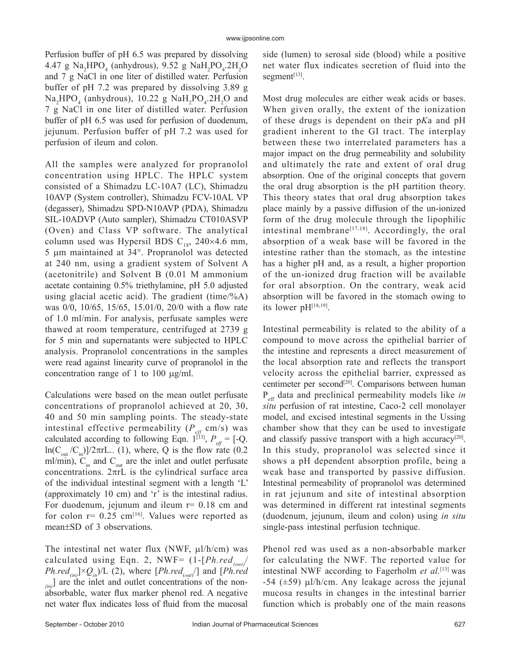Perfusion buffer of pH 6.5 was prepared by dissolving  $4.47 \text{ g Na}_2\text{HPO}_4 \text{ (anhydrous)}$ ,  $9.52 \text{ g NaH}_2\text{PO}_4.2\text{H}_2\text{O}$ and 7 g NaCl in one liter of distilled water. Perfusion buffer of pH 7.2 was prepared by dissolving 3.89 g  $\text{Na}_2\text{HPO}_4$  (anhydrous), 10.22 g  $\text{NaH}_2\text{PO}_4.\text{2H}_2\text{O}$  and 7 g NaCl in one liter of distilled water. Perfusion buffer of pH 6.5 was used for perfusion of duodenum, jejunum. Perfusion buffer of pH 7.2 was used for perfusion of ileum and colon.

All the samples were analyzed for propranolol concentration using HPLC. The HPLC system consisted of a Shimadzu LC-10A7 (LC), Shimadzu 10AVP (System controller), Shimadzu FCV-10AL VP (degasser), Shimadzu SPD-N10AVP (PDA), Shimadzu SIL-10ADVP (Auto sampler), Shimadzu CT010ASVP (Oven) and Class VP software. The analytical column used was Hypersil BDS  $C_{18}$ , 240×4.6 mm, 5  $\mu$ m maintained at 34°. Propranolol was detected at 240 nm, using a gradient system of Solvent A (acetonitrile) and Solvent B (0.01 M ammonium acetate containing 0.5% triethylamine, pH 5.0 adjusted using glacial acetic acid). The gradient (time/%A) was  $0/0$ ,  $10/65$ ,  $15/65$ ,  $15.01/0$ ,  $20/0$  with a flow rate of 1.0 ml/min. For analysis, perfusate samples were thawed at room temperature, centrifuged at 2739 g for 5 min and supernatants were subjected to HPLC analysis. Propranolol concentrations in the samples were read against linearity curve of propranolol in the concentration range of 1 to 100  $\mu$ g/ml.

Calculations were based on the mean outlet perfusate concentrations of propranolol achieved at 20, 30, 40 and 50 min sampling points. The steady-state intestinal effective permeability  $(P_{\text{eff}} \text{ cm/s})$  was calculated according to following Eqn.  $1^{[13]}$ ,  $P_{\text{eff}} = [-Q]$ .  $ln(C_{out}/C_{in})]/2\pi rL$ .. (1), where, Q is the flow rate (0.2) ml/min),  $C_{in}^{int}$  and  $C_{out}$  are the inlet and outlet perfusate concentrations.  $2\pi rL$  is the cylindrical surface area of the individual intestinal segment with a length 'L' (approximately 10 cm) and 'r' is the intestinal radius. For duodenum, jejunum and ileum  $r= 0.18$  cm and for colon  $r = 0.25$  cm<sup>[16]</sup>. Values were reported as mean±SD of 3 observations.

The intestinal net water flux (NWF,  $\mu$ l/h/cm) was calculated using Eqn. 2, NWF=  $(1-[Ph.read_{out}/$  $Ph.read_{(in)}] \times Q_{in}$   $\!/L$  (2), where [*Ph.red<sub>(out</sub>* $\!$ ] and [*Ph.red (in)*] are the inlet and outlet concentrations of the nonabsorbable, water flux marker phenol red. A negative net water flux indicates loss of fluid from the mucosal side (lumen) to serosal side (blood) while a positive net water flux indicates secretion of fluid into the segment $[13]$ .

Most drug molecules are either weak acids or bases. When given orally, the extent of the ionization of these drugs is dependent on their p*K*a and pH gradient inherent to the GI tract. The interplay between these two interrelated parameters has a major impact on the drug permeability and solubility and ultimately the rate and extent of oral drug absorption. One of the original concepts that govern the oral drug absorption is the pH partition theory. This theory states that oral drug absorption takes place mainly by a passive diffusion of the un-ionized form of the drug molecule through the lipophilic intestinal membrane<sup>[17,18]</sup>. Accordingly, the oral absorption of a weak base will be favored in the intestine rather than the stomach, as the intestine has a higher pH and, as a result, a higher proportion of the un-ionized drug fraction will be available for oral absorption. On the contrary, weak acid absorption will be favored in the stomach owing to its lower pH[18,19].

Intestinal permeability is related to the ability of a compound to move across the epithelial barrier of the intestine and represents a direct measurement of the local absorption rate and reflects the transport velocity across the epithelial barrier, expressed as centimeter per second<sup>[20]</sup>. Comparisons between human P<sub>eff</sub> data and preclinical permeability models like *in situ* perfusion of rat intestine, Caco-2 cell monolayer model, and excised intestinal segments in the Ussing chamber show that they can be used to investigate and classify passive transport with a high accuracy<sup>[20]</sup>. In this study, propranolol was selected since it shows a pH dependent absorption profile, being a weak base and transported by passive diffusion. Intestinal permeability of propranolol was determined in rat jejunum and site of intestinal absorption was determined in different rat intestinal segments (duodenum, jejunum, ileum and colon) using *in situ*  single-pass intestinal perfusion technique.

Phenol red was used as a non-absorbable marker for calculating the NWF. The reported value for intestinal NWF according to Fagerholm *et al.*[13] was  $-54$  ( $\pm 59$ )  $\mu$ l/h/cm. Any leakage across the jejunal mucosa results in changes in the intestinal barrier function which is probably one of the main reasons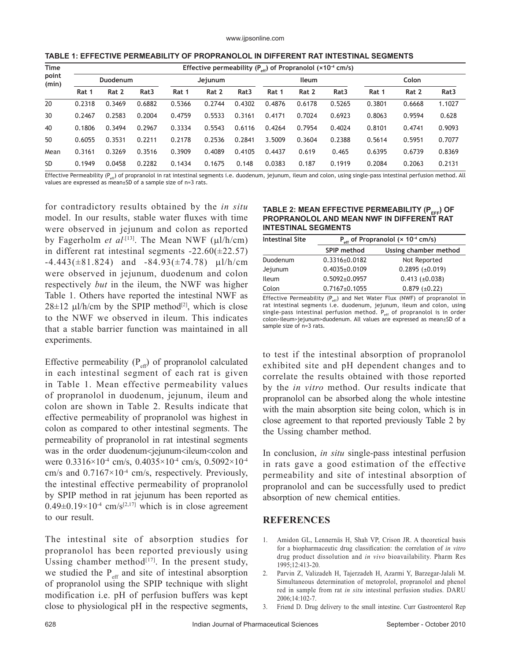| TABLE 1: EFFECTIVE PERMEABILITY OF PROPRANOLOL IN DIFFERENT RAT INTESTINAL SEGMENTS |  |
|-------------------------------------------------------------------------------------|--|
|-------------------------------------------------------------------------------------|--|

| Time           | Effective permeability ( $P_{\alpha\beta}$ ) of Propranolol (×10 <sup>-4</sup> cm/s) |        |                  |         |        |                  |        |        |                  |        |        |                  |
|----------------|--------------------------------------------------------------------------------------|--------|------------------|---------|--------|------------------|--------|--------|------------------|--------|--------|------------------|
| point<br>(min) | Duodenum                                                                             |        |                  | Jejunum |        | <b>Ileum</b>     |        |        | Colon            |        |        |                  |
|                | Rat 1                                                                                | Rat 2  | Rat <sub>3</sub> | Rat 1   | Rat 2  | Rat <sub>3</sub> | Rat 1  | Rat 2  | Rat <sub>3</sub> | Rat 1  | Rat 2  | Rat <sub>3</sub> |
| 20             | 0.2318                                                                               | 0.3469 | 0.6882           | 0.5366  | 0.2744 | 0.4302           | 0.4876 | 0.6178 | 0.5265           | 0.3801 | 0.6668 | 1.1027           |
| 30             | 0.2467                                                                               | 0.2583 | 0.2004           | 0.4759  | 0.5533 | 0.3161           | 0.4171 | 0.7024 | 0.6923           | 0.8063 | 0.9594 | 0.628            |
| 40             | 0.1806                                                                               | 0.3494 | 0.2967           | 0.3334  | 0.5543 | 0.6116           | 0.4264 | 0.7954 | 0.4024           | 0.8101 | 0.4741 | 0.9093           |
| 50             | 0.6055                                                                               | 0.3531 | 0.2211           | 0.2178  | 0.2536 | 0.2841           | 3.5009 | 0.3604 | 0.2388           | 0.5614 | 0.5951 | 0.7077           |
| Mean           | 0.3161                                                                               | 0.3269 | 0.3516           | 0.3909  | 0.4089 | 0.4105           | 0.4437 | 0.619  | 0.465            | 0.6395 | 0.6739 | 0.8369           |
| <b>SD</b>      | 0.1949                                                                               | 0.0458 | 0.2282           | 0.1434  | 0.1675 | 0.148            | 0.0383 | 0.187  | 0.1919           | 0.2084 | 0.2063 | 0.2131           |

Effective Permeability ( $P_{set}$ ) of propranolol in rat intestinal segments i.e. duodenum, jejunum, ileum and colon, using single-pass intestinal perfusion method. All values are expressed as mean±SD of a sample size of n=3 rats.

for contradictory results obtained by the *in situ* model. In our results, stable water fluxes with time were observed in jejunum and colon as reported by Fagerholm *et al*<sup>[13]</sup>. The Mean NWF (µl/h/cm) in different rat intestinal segments  $-22.60(\pm 22.57)$  $-4.443(\pm 81.824)$  and  $-84.93(\pm 74.78)$  µl/h/cm were observed in jejunum, duodenum and colon respectively *but* in the ileum, the NWF was higher Table 1. Others have reported the intestinal NWF as  $28\pm12$  µl/h/cm by the SPIP method<sup>[2]</sup>, which is close to the NWF we observed in ileum. This indicates that a stable barrier function was maintained in all experiments.

Effective permeability  $(P_{\text{eff}})$  of propranolol calculated in each intestinal segment of each rat is given in Table 1. Mean effective permeability values of propranolol in duodenum, jejunum, ileum and colon are shown in Table 2. Results indicate that effective permeability of propranolol was highest in colon as compared to other intestinal segments. The permeability of propranolol in rat intestinal segments was in the order duodenum<iejunum<ileum<colon and were 0.3316×10<sup>-4</sup> cm/s, 0.4035×10<sup>-4</sup> cm/s, 0.5092×10<sup>-4</sup> cm/s and  $0.7167 \times 10^{-4}$  cm/s, respectively. Previously, the intestinal effective permeability of propranolol by SPIP method in rat jejunum has been reported as  $0.49\pm0.19\times10^{-4}$  cm/s<sup>[2,17]</sup> which is in close agreement to our result.

The intestinal site of absorption studies for propranolol has been reported previously using Ussing chamber method $[17]$ . In the present study, we studied the  $P_{\text{eff}}$  and site of intestinal absorption of propranolol using the SPIP technique with slight modification i.e. pH of perfusion buffers was kept close to physiological pH in the respective segments,

## TABLE 2: MEAN EFFECTIVE PERMEABILITY (P<sub>FFF</sub>) OF **PROPRANOLOL AND MEAN NWF IN DIFFERENT RAT INTESTINAL SEGMENTS**

| <b>Intestinal Site</b> | $P_{\alpha\beta}$ of Propranolol (× 10 <sup>-4</sup> cm/s) |                       |  |  |  |
|------------------------|------------------------------------------------------------|-----------------------|--|--|--|
|                        | SPIP method                                                | Ussing chamber method |  |  |  |
| Duodenum               | $0.3316 \pm 0.0182$                                        | Not Reported          |  |  |  |
| Jejunum                | $0.4035 \pm 0.0109$                                        | $0.2895 (\pm 0.019)$  |  |  |  |
| <b>Ileum</b>           | $0.5092 \pm 0.0957$                                        | $0.413 (\pm 0.038)$   |  |  |  |
| Colon                  | $0.7167 \pm 0.1055$                                        | $0.879 \ (\pm 0.22)$  |  |  |  |

Effective Permeability ( $P_{eff}$ ) and Net Water Flux (NWF) of propranolol in rat intestinal segments i.e. duodenum, jejunum, ileum and colon, using single-pass intestinal perfusion method.  $P_{\text{eff}}$  of propranolol is in order colon>ileum>jejunum>duodenum. All values are expressed as mean±SD of a sample size of n=3 rats.

to test if the intestinal absorption of propranolol exhibited site and pH dependent changes and to correlate the results obtained with those reported by the *in vitro* method. Our results indicate that propranolol can be absorbed along the whole intestine with the main absorption site being colon, which is in close agreement to that reported previously Table 2 by the Ussing chamber method.

In conclusion, *in situ* single-pass intestinal perfusion in rats gave a good estimation of the effective permeability and site of intestinal absorption of propranolol and can be successfully used to predict absorption of new chemical entities.

## **REFERENCES**

- 1. Amidon GL, Lennernäs H, Shah VP, Crison JR. A theoretical basis for a biopharmaceutic drug classification: the correlation of *in vitro* drug product dissolution and *in vivo* bioavailability. Pharm Res 1995;12:413- 20.
- 2. Parvin Z, Valizadeh H, Tajerzadeh H, Azarmi Y, Barzegar-Jalali M. Simultaneous determination of metoprolol, propranolol and phenol red in sample from rat *in situ* intestinal perfusion studies. DARU  $2006:14:102-7$
- 3. Friend D. Drug delivery to the small intestine. Curr Gastroenterol Rep